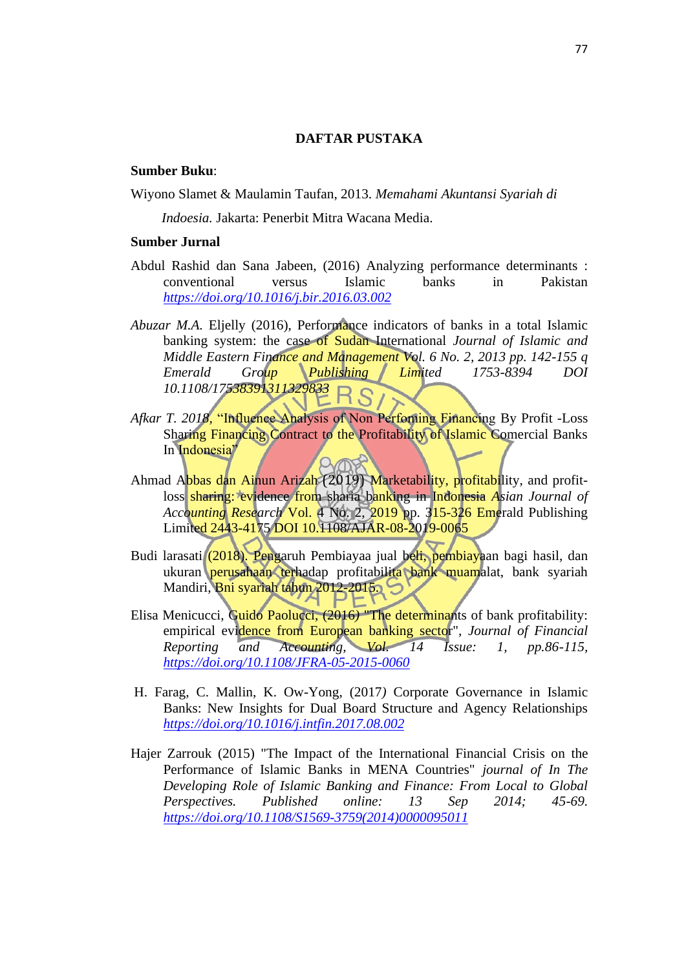## **DAFTAR PUSTAKA**

## **Sumber Buku**:

Wiyono Slamet & Maulamin Taufan, 2013. *Memahami Akuntansi Syariah di* 

*Indoesia.* Jakarta: Penerbit Mitra Wacana Media.

## **Sumber Jurnal**

- Abdul Rashid dan Sana Jabeen, (2016) Analyzing performance determinants : conventional versus Islamic banks in Pakistan *<https://doi.org/10.1016/j.bir.2016.03.002>*
- *Abuzar M.A. Eljelly (2016), Performance indicators of banks in a total Islamic* banking system: the case of Sudan International *Journal of Islamic and Middle Eastern Finance and Management Vol. 6 No. 2, 2013 pp. 142-155 q Emerald Group Publishing Limited 1753-8394 DOI 10.1108/17538391311329833*
- *Afkar T. 2018,* "Influence Analysis of Non Perfoming Financing By Profit -Loss Sharing Financing Contract to the Profitability of Islamic Comercial Banks In Indonesia"
- Ahmad Abbas dan Ainun Arizah (2019) Marketability, profitability, and profitloss sharing: evidence from sharia banking in Indonesia *Asian Journal of Accounting Research* Vol. 4 No. 2, 2019 pp. 315-326 Emerald Publishing Limited 2443-4175 DOI 10.1108/AJAR-08-2019-0065
- Budi larasati (2018). Pengaruh Pembiayaa jual beli, pembiayaan bagi hasil, dan ukuran perusahaan terhadap profitabilita bank muamalat, bank syariah Mandiri, Bni syariah tahun 2012-2015.
- Elisa Menicucci, Guido Paolucci, (2016) <sup>"</sup>The determinants of bank profitability: empirical evidence from European banking sector"*, Journal of Financial Reporting and Accounting, Vol. 14 Issue: 1, pp.86-115, <https://doi.org/10.1108/JFRA-05-2015-0060>*
- H. Farag, C. Mallin, K. Ow-Yong, (2017*)* Corporate Governance in Islamic Banks: New Insights for Dual Board Structure and Agency Relationships *<https://doi.org/10.1016/j.intfin.2017.08.002>*
- Hajer Zarrouk (2015) "The Impact of the International Financial Crisis on the Performance of Islamic Banks in MENA Countries" *journal of In The Developing Role of Islamic Banking and Finance: From Local to Global Perspectives. Published online: 13 Sep 2014; 45-69. [https://doi.org/10.1108/S1569-3759\(2014\)0000095011](https://doi.org/10.1108/S1569-3759(2014)0000095011)*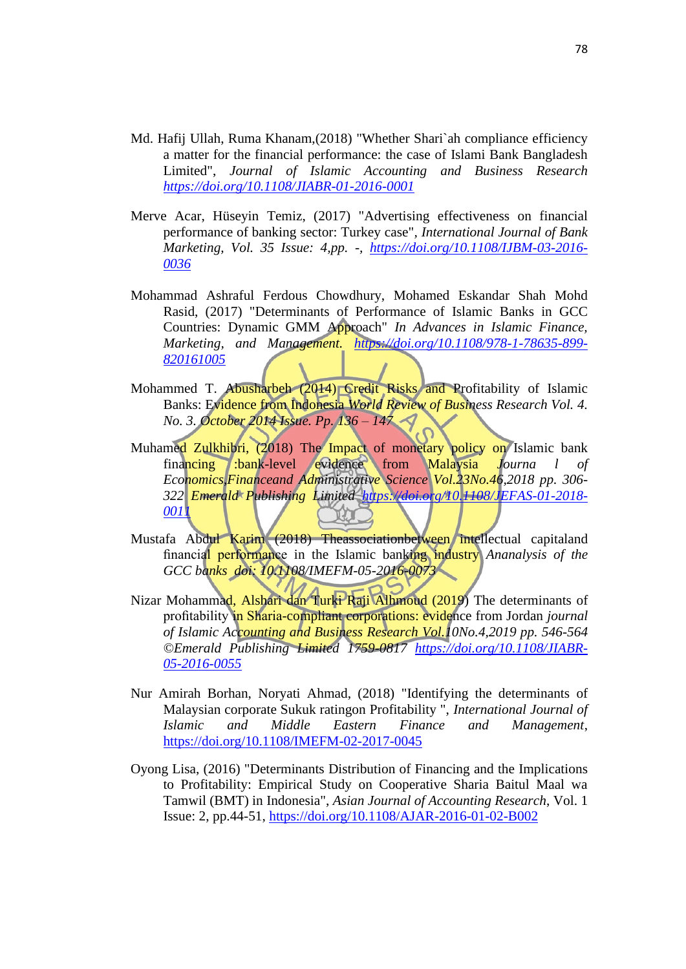- Md. Hafij Ullah, Ruma Khanam,(2018) "Whether Shari`ah compliance efficiency a matter for the financial performance: the case of Islami Bank Bangladesh Limited", *Journal of Islamic Accounting and Business Research <https://doi.org/10.1108/JIABR-01-2016-0001>*
- Merve Acar, Hüseyin Temiz, (2017) "Advertising effectiveness on financial performance of banking sector: Turkey case"*, International Journal of Bank Marketing, Vol. 35 Issue: 4,pp. -, [https://doi.org/10.1108/IJBM-03-2016-](https://doi.org/10.1108/IJBM-03-2016-0036) [0036](https://doi.org/10.1108/IJBM-03-2016-0036)*
- Mohammad Ashraful Ferdous Chowdhury, Mohamed Eskandar Shah Mohd Rasid, (2017) "Determinants of Performance of Islamic Banks in GCC Countries: Dynamic GMM Approach" *In Advances in Islamic Finance, Marketing, and Management. [https://doi.org/10.1108/978-1-78635-899-](https://doi.org/10.1108/978-1-78635-899-820161005) [820161005](https://doi.org/10.1108/978-1-78635-899-820161005)*
- Mohammed T. Abusharbeh (2014) Credit Risks and Profitability of Islamic Banks: Evidence from Indonesia *World Review of Business Research Vol. 4. No. 3. October 2014 Issue. Pp. 136 – 147*
- Muhamed Zulkhibri, (2018) The Impact of monetary policy on Islamic bank financing :bank-level evidence from Malaysia *Journa l of Economics,Financeand Administrative Science Vol.23No.46,2018 pp. 306- 322 Emerald Publishing Limited [https://doi.org/10.1108/JEFAS-01-2018-](https://doi.org/10.1108/JEFAS-01-2018-0011) [0011](https://doi.org/10.1108/JEFAS-01-2018-0011)*
- Mustafa Abdul Karim (2018) Theassociationbetween intellectual capitaland financial performance in the Islamic banking industry *Ananalysis of the GCC banks doi: 10.1108/IMEFM-05-2016-0073*
- Nizar Mohammad, Alshari dan Turki Raji Alhmoud (2019) The determinants of profitability in Sharia-compliant corporations: evidence from Jordan *journal of Islamic Accounting and Business Research Vol.10No.4,2019 pp. 546-564 ©Emerald Publishing Limited 1759-0817 [https://doi.org/10.1108/JIABR-](https://doi.org/10.1108/JIABR-05-2016-0055)[05-2016-0055](https://doi.org/10.1108/JIABR-05-2016-0055)*
- Nur Amirah Borhan, Noryati Ahmad, (2018) "Identifying the determinants of Malaysian corporate Sukuk ratingon Profitability ", *International Journal of Islamic and Middle Eastern Finance and Management*, <https://doi.org/10.1108/IMEFM-02-2017-0045>
- Oyong Lisa, (2016) "Determinants Distribution of Financing and the Implications to Profitability: Empirical Study on Cooperative Sharia Baitul Maal wa Tamwil (BMT) in Indonesia", *Asian Journal of Accounting Research*, Vol. 1 Issue: 2, pp.44-51,<https://doi.org/10.1108/AJAR-2016-01-02-B002>